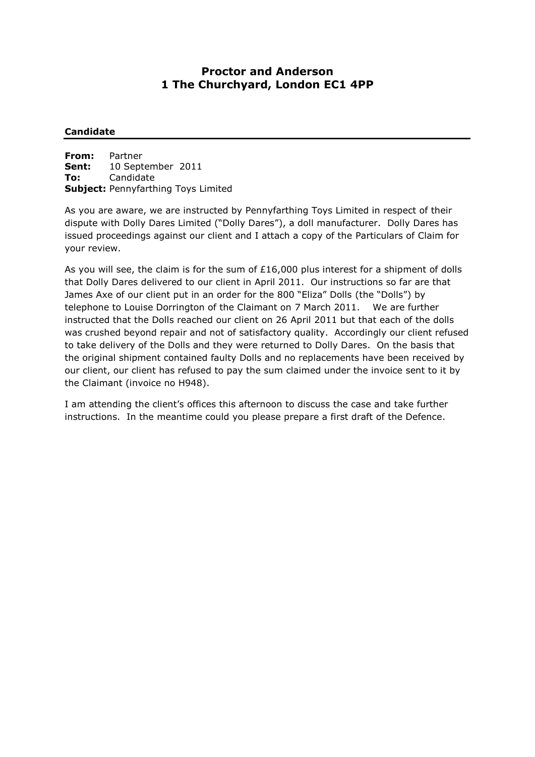# **Proctor and Anderson 1 The Churchyard, London EC1 4PP**

# **Candidate**

**From:** Partner **Sent:** 10 September 2011 **To:** Candidate **Subject:** Pennyfarthing Toys Limited

As you are aware, we are instructed by Pennyfarthing Toys Limited in respect of their dispute with Dolly Dares Limited ("Dolly Dares"), a doll manufacturer. Dolly Dares has issued proceedings against our client and I attach a copy of the Particulars of Claim for your review.

As you will see, the claim is for the sum of £16,000 plus interest for a shipment of dolls that Dolly Dares delivered to our client in April 2011. Our instructions so far are that James Axe of our client put in an order for the 800 "Eliza" Dolls (the "Dolls") by telephone to Louise Dorrington of the Claimant on 7 March 2011. We are further instructed that the Dolls reached our client on 26 April 2011 but that each of the dolls was crushed beyond repair and not of satisfactory quality. Accordingly our client refused to take delivery of the Dolls and they were returned to Dolly Dares. On the basis that the original shipment contained faulty Dolls and no replacements have been received by our client, our client has refused to pay the sum claimed under the invoice sent to it by the Claimant (invoice no H948).

I am attending the client's offices this afternoon to discuss the case and take further instructions. In the meantime could you please prepare a first draft of the Defence.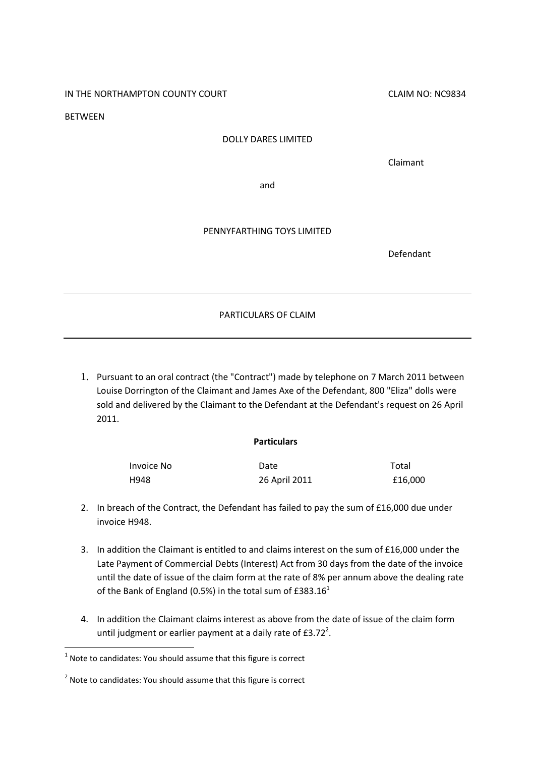IN THE NORTHAMPTON COUNTY COURT COUNTY COUNT COUNTY COUNT COUNTY COUNTY COUNTY COUNTY COUNTY COUNTY COUNTY COUNT

**BETWEEN** 

#### DOLLY DARES LIMITED

Claimant

and

### PENNYFARTHING TOYS LIMITED

Defendant

PARTICULARS OF CLAIM

1. Pursuant to an oral contract (the "Contract") made by telephone on 7 March 2011 between Louise Dorrington of the Claimant and James Axe of the Defendant, 800 "Eliza" dolls were sold and delivered by the Claimant to the Defendant at the Defendant's request on 26 April 2011.

## **Particulars**

| Invoice No | Date          | Total   |
|------------|---------------|---------|
| H948       | 26 April 2011 | £16.000 |

- 2. In breach of the Contract, the Defendant has failed to pay the sum of £16,000 due under invoice H948.
- 3. In addition the Claimant is entitled to and claims interest on the sum of £16,000 under the Late Payment of Commercial Debts (Interest) Act from 30 days from the date of the invoice until the date of issue of the claim form at the rate of 8% per annum above the dealing rate of the Bank of England (0.5%) in the total sum of  $£383.16<sup>1</sup>$
- 4. In addition the Claimant claims interest as above from the date of issue of the claim form until judgment or earlier payment at a daily rate of  $£3.72<sup>2</sup>$ .

1

 $1$  Note to candidates: You should assume that this figure is correct

 $2$  Note to candidates: You should assume that this figure is correct